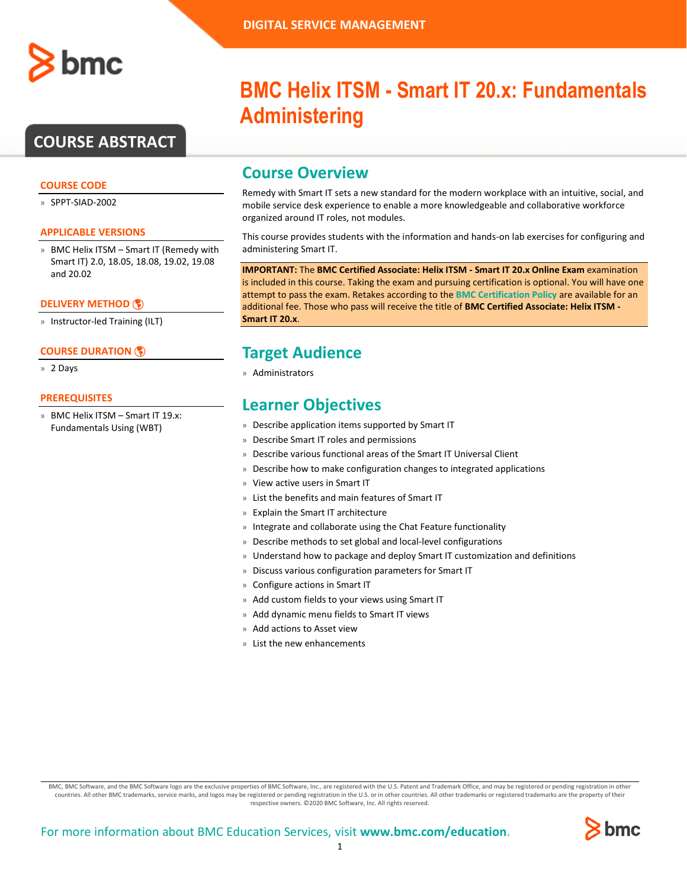

# **COURSE ABSTRACT**

#### **COURSE CODE**

» SPPT-SIAD-2002

### **APPLICABLE VERSIONS**

» BMC Helix ITSM – Smart IT (Remedy with Smart IT) 2.0, 18.05, 18.08, 19.02, 19.08 and 20.02

#### **[DELIVERY METHOD](http://www.bmc.com/education/modality.html)**

» Instructor-led Training (ILT)

#### **[COURSE DURATION](http://www.bmc.com/education/learning-paths/education-filters-learning-paths.html)**

» 2 Days

#### **PREREQUISITES**

» BMC Helix ITSM – Smart IT 19.x: Fundamentals Using (WBT)

# **BMC Helix ITSM - Smart IT 20.x: Fundamentals Administering**

# **Course Overview**

Remedy with Smart IT sets a new standard for the modern workplace with an intuitive, social, and mobile service desk experience to enable a more knowledgeable and collaborative workforce organized around IT roles, not modules.

This course provides students with the information and hands-on lab exercises for configuring and administering Smart IT.

**IMPORTANT:** The **BMC Certified Associate: Helix ITSM - Smart IT 20.x Online Exam** examination is included in this course. Taking the exam and pursuing certification is optional. You will have one attempt to pass the exam. Retakes according to the **[BMC Certification Policy](https://www.bmc.com/content/dam/bmc/education/BMC_Education_Certification_Policy.pdf)** are available for an additional fee. Those who pass will receive the title of **BMC Certified Associate: Helix ITSM - Smart IT 20.x**.

# **Target Audience**

» Administrators

# **Learner Objectives**

- » Describe application items supported by Smart IT
- » Describe Smart IT roles and permissions
- » Describe various functional areas of the Smart IT Universal Client
- » Describe how to make configuration changes to integrated applications
- » View active users in Smart IT
- » List the benefits and main features of Smart IT
- » Explain the Smart IT architecture
- » Integrate and collaborate using the Chat Feature functionality
- » Describe methods to set global and local-level configurations
- » Understand how to package and deploy Smart IT customization and definitions
- » Discuss various configuration parameters for Smart IT
- » Configure actions in Smart IT
- » Add custom fields to your views using Smart IT
- » Add dynamic menu fields to Smart IT views
- » Add actions to Asset view
- » List the new enhancements

BMC, BMC Software, and the BMC Software logo are the exclusive properties of BMC Software, Inc., are registered with the U.S. Patent and Trademark Office, and may be registered or pending registration in other countries. All other BMC trademarks, service marks, and logos may be registered or pending registration in the U.S. or in other countries. All other trademarks or registered trademarks are the property of their respective owners. ©2020 BMC Software, Inc. All rights reserved.